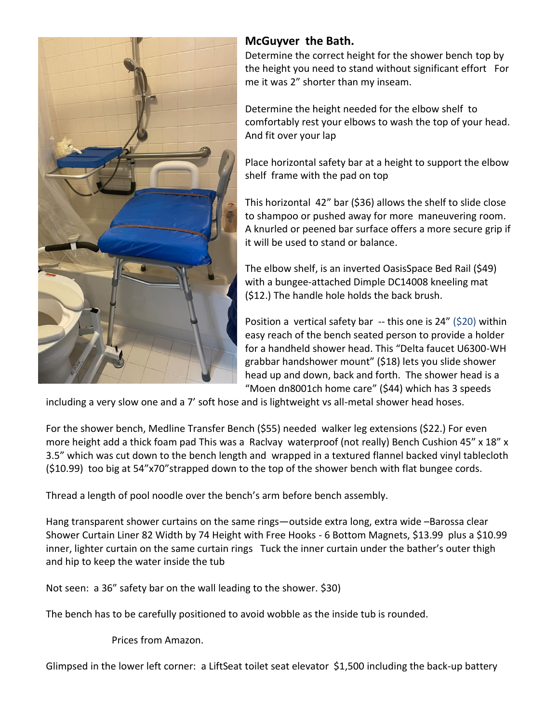

## **McGuyver the Bath.**

Determine the correct height for the shower bench top by the height you need to stand without significant effort For me it was 2" shorter than my inseam.

Determine the height needed for the elbow shelf to comfortably rest your elbows to wash the top of your head. And fit over your lap

Place horizontal safety bar at a height to support the elbow shelf frame with the pad on top

This horizontal 42" bar (\$36) allows the shelf to slide close to shampoo or pushed away for more maneuvering room. A knurled or peened bar surface offers a more secure grip if it will be used to stand or balance.

The elbow shelf, is an inverted OasisSpace Bed Rail (\$49) with a bungee-attached Dimple DC14008 kneeling mat (\$12.) The handle hole holds the back brush.

Position a vertical safety bar -- this one is 24" (\$20) within easy reach of the bench seated person to provide a holder for a handheld shower head. This "Delta faucet U6300-WH grabbar handshower mount" (\$18) lets you slide shower head up and down, back and forth. The shower head is a "Moen dn8001ch home care" (\$44) which has 3 speeds

including a very slow one and a 7' soft hose and is lightweight vs all-metal shower head hoses.

For the shower bench, Medline Transfer Bench (\$55) needed walker leg extensions (\$22.) For even more height add a thick foam pad This was a Raclvay waterproof (not really) Bench Cushion 45" x 18" x 3.5" which was cut down to the bench length and wrapped in a textured flannel backed vinyl tablecloth (\$10.99) too big at 54"x70"strapped down to the top of the shower bench with flat bungee cords.

Thread a length of pool noodle over the bench's arm before bench assembly.

Hang transparent shower curtains on the same rings—outside extra long, extra wide –Barossa clear Shower Curtain Liner 82 Width by 74 Height with Free Hooks - 6 Bottom Magnets, \$13.99 plus a \$10.99 inner, lighter curtain on the same curtain rings Tuck the inner curtain under the bather's outer thigh and hip to keep the water inside the tub

Not seen: a 36" safety bar on the wall leading to the shower. \$30)

The bench has to be carefully positioned to avoid wobble as the inside tub is rounded.

Prices from Amazon.

Glimpsed in the lower left corner: a LiftSeat toilet seat elevator \$1,500 including the back-up battery